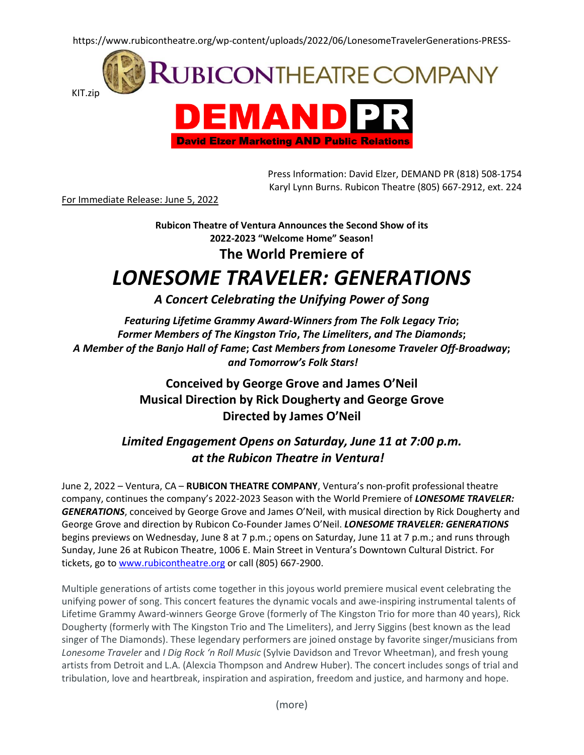https://www.rubicontheatre.org/wp-content/uploads/2022/06/LonesomeTravelerGenerations-PRESS-



**David Elzer Marketing AND Public Relations** 

Press Information: David Elzer, DEMAND PR (818) 508-1754 Karyl Lynn Burns. Rubicon Theatre (805) 667-2912, ext. 224

For Immediate Release: June 5, 2022

**Rubicon Theatre of Ventura Announces the Second Show of its 2022-2023 "Welcome Home" Season! The World Premiere of**

# *LONESOME TRAVELER: GENERATIONS*

*A Concert Celebrating the Unifying Power of Song*

*Featuring Lifetime Grammy Award-Winners from The Folk Legacy Trio***;** *Former Members of The Kingston Trio***,** *The Limeliters***,** *and The Diamonds***;** *A Member of the Banjo Hall of Fame***;** *Cast Members from Lonesome Traveler Off-Broadway***;** *and Tomorrow's Folk Stars!*

> **Conceived by George Grove and James O'Neil Musical Direction by Rick Dougherty and George Grove Directed by James O'Neil**

*Limited Engagement Opens on Saturday, June 11 at 7:00 p.m. at the Rubicon Theatre in Ventura!*

June 2, 2022 – Ventura, CA – **RUBICON THEATRE COMPANY**, Ventura's non-profit professional theatre company, continues the company's 2022-2023 Season with the World Premiere of *LONESOME TRAVELER: GENERATIONS*, conceived by George Grove and James O'Neil, with musical direction by Rick Dougherty and George Grove and direction by Rubicon Co-Founder James O'Neil. *LONESOME TRAVELER: GENERATIONS* begins previews on Wednesday, June 8 at 7 p.m.; opens on Saturday, June 11 at 7 p.m.; and runs through Sunday, June 26 at Rubicon Theatre, 1006 E. Main Street in Ventura's Downtown Cultural District. For tickets, go to [www.rubicontheatre.org](http://www.rubicontheatre.org/) or call (805) 667-2900.

Multiple generations of artists come together in this joyous world premiere musical event celebrating the unifying power of song. This concert features the dynamic vocals and awe-inspiring instrumental talents of Lifetime Grammy Award-winners George Grove (formerly of The Kingston Trio for more than 40 years), Rick Dougherty (formerly with The Kingston Trio and The Limeliters), and Jerry Siggins (best known as the lead singer of The Diamonds). These legendary performers are joined onstage by favorite singer/musicians from *Lonesome Traveler* and *I Dig Rock 'n Roll Music* (Sylvie Davidson and Trevor Wheetman), and fresh young artists from Detroit and L.A. (Alexcia Thompson and Andrew Huber). The concert includes songs of trial and tribulation, love and heartbreak, inspiration and aspiration, freedom and justice, and harmony and hope.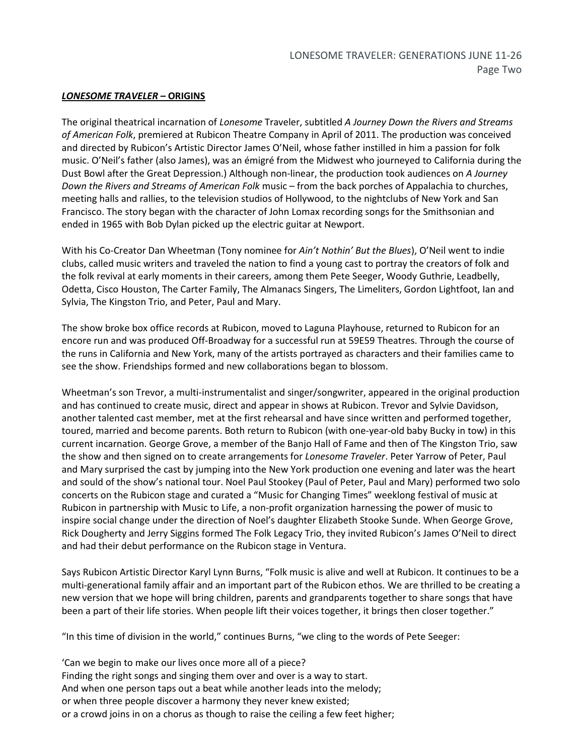#### *LONESOME TRAVELER –* **ORIGINS**

The original theatrical incarnation of *Lonesome* Traveler, subtitled *A Journey Down the Rivers and Streams of American Folk*, premiered at Rubicon Theatre Company in April of 2011. The production was conceived and directed by Rubicon's Artistic Director James O'Neil, whose father instilled in him a passion for folk music. O'Neil's father (also James), was an émigré from the Midwest who journeyed to California during the Dust Bowl after the Great Depression.) Although non-linear, the production took audiences on *A Journey Down the Rivers and Streams of American Folk* music – from the back porches of Appalachia to churches, meeting halls and rallies, to the television studios of Hollywood, to the nightclubs of New York and San Francisco. The story began with the character of John Lomax recording songs for the Smithsonian and ended in 1965 with Bob Dylan picked up the electric guitar at Newport.

With his Co-Creator Dan Wheetman (Tony nominee for *Ain't Nothin' But the Blues*), O'Neil went to indie clubs, called music writers and traveled the nation to find a young cast to portray the creators of folk and the folk revival at early moments in their careers, among them Pete Seeger, Woody Guthrie, Leadbelly, Odetta, Cisco Houston, The Carter Family, The Almanacs Singers, The Limeliters, Gordon Lightfoot, Ian and Sylvia, The Kingston Trio, and Peter, Paul and Mary.

The show broke box office records at Rubicon, moved to Laguna Playhouse, returned to Rubicon for an encore run and was produced Off-Broadway for a successful run at 59E59 Theatres. Through the course of the runs in California and New York, many of the artists portrayed as characters and their families came to see the show. Friendships formed and new collaborations began to blossom.

Wheetman's son Trevor, a multi-instrumentalist and singer/songwriter, appeared in the original production and has continued to create music, direct and appear in shows at Rubicon. Trevor and Sylvie Davidson, another talented cast member, met at the first rehearsal and have since written and performed together, toured, married and become parents. Both return to Rubicon (with one-year-old baby Bucky in tow) in this current incarnation. George Grove, a member of the Banjo Hall of Fame and then of The Kingston Trio, saw the show and then signed on to create arrangements for *Lonesome Traveler*. Peter Yarrow of Peter, Paul and Mary surprised the cast by jumping into the New York production one evening and later was the heart and sould of the show's national tour. Noel Paul Stookey (Paul of Peter, Paul and Mary) performed two solo concerts on the Rubicon stage and curated a "Music for Changing Times" weeklong festival of music at Rubicon in partnership with Music to Life, a non-profit organization harnessing the power of music to inspire social change under the direction of Noel's daughter Elizabeth Stooke Sunde. When George Grove, Rick Dougherty and Jerry Siggins formed The Folk Legacy Trio, they invited Rubicon's James O'Neil to direct and had their debut performance on the Rubicon stage in Ventura.

Says Rubicon Artistic Director Karyl Lynn Burns, "Folk music is alive and well at Rubicon. It continues to be a multi-generational family affair and an important part of the Rubicon ethos. We are thrilled to be creating a new version that we hope will bring children, parents and grandparents together to share songs that have been a part of their life stories. When people lift their voices together, it brings then closer together."

"In this time of division in the world," continues Burns, "we cling to the words of Pete Seeger:

'Can we begin to make our lives once more all of a piece? Finding the right songs and singing them over and over is a way to start. And when one person taps out a beat while another leads into the melody; or when three people discover a harmony they never knew existed; or a crowd joins in on a chorus as though to raise the ceiling a few feet higher;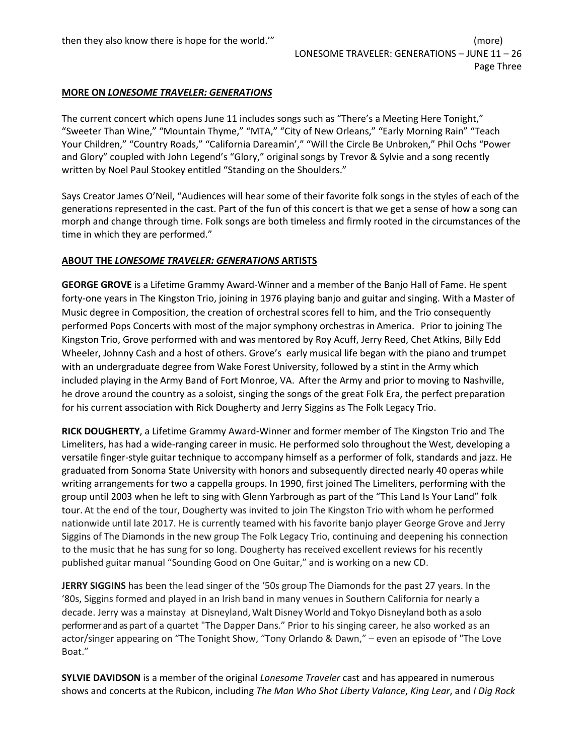#### **MORE ON** *LONESOME TRAVELER: GENERATIONS*

The current concert which opens June 11 includes songs such as "There's a Meeting Here Tonight," "Sweeter Than Wine," "Mountain Thyme," "MTA," "City of New Orleans," "Early Morning Rain" "Teach Your Children," "Country Roads," "California Dareamin'," "Will the Circle Be Unbroken," Phil Ochs "Power and Glory" coupled with John Legend's "Glory," original songs by Trevor & Sylvie and a song recently written by Noel Paul Stookey entitled "Standing on the Shoulders."

Says Creator James O'Neil, "Audiences will hear some of their favorite folk songs in the styles of each of the generations represented in the cast. Part of the fun of this concert is that we get a sense of how a song can morph and change through time. Folk songs are both timeless and firmly rooted in the circumstances of the time in which they are performed."

#### **ABOUT THE** *LONESOME TRAVELER: GENERATIONS* **ARTISTS**

**GEORGE GROVE** is a Lifetime Grammy Award-Winner and a member of the Banjo Hall of Fame. He spent forty-one years in The Kingston Trio, joining in 1976 playing banjo and guitar and singing. With a Master of Music degree in Composition, the creation of orchestral scores fell to him, and the Trio consequently performed Pops Concerts with most of the major symphony orchestras in America. Prior to joining The Kingston Trio, Grove performed with and was mentored by Roy Acuff, Jerry Reed, Chet Atkins, Billy Edd Wheeler, Johnny Cash and a host of others. Grove's early musical life began with the piano and trumpet with an undergraduate degree from Wake Forest University, followed by a stint in the Army which included playing in the Army Band of Fort Monroe, VA. After the Army and prior to moving to Nashville, he drove around the country as a soloist, singing the songs of the great Folk Era, the perfect preparation for his current association with Rick Dougherty and Jerry Siggins as The Folk Legacy Trio.

**RICK DOUGHERTY**, a Lifetime Grammy Award-Winner and former member of The Kingston Trio and The Limeliters, has had a wide-ranging career in music. He performed solo throughout the West, developing a versatile finger-style guitar technique to accompany himself as a performer of folk, standards and jazz. He graduated from Sonoma State University with honors and subsequently directed nearly 40 operas while writing arrangements for two a cappella groups. In 1990, first joined The Limeliters, performing with the group until 2003 when he left to sing with Glenn Yarbrough as part of the "This Land Is Your Land" folk tour. At the end of the tour, Dougherty was invited to join The Kingston Trio with whom he performed nationwide until late 2017. He is currently teamed with his favorite banjo player George Grove and Jerry Siggins of The Diamonds in the new group The Folk Legacy Trio, continuing and deepening his connection to the music that he has sung for so long. Dougherty has received excellent reviews for his recently published guitar manual "Sounding Good on One Guitar," and is working on a new CD.

**JERRY SIGGINS** has been the lead singer of the '50s group The Diamonds for the past 27 years. In the '80s, Siggins formed and played in an Irish band in many venues in Southern California for nearly a decade. Jerry was a mainstay at Disneyland,Walt Disney World and Tokyo Disneyland both as a solo performer and as part of a quartet "The Dapper Dans." Prior to his singing career, he also worked as an actor/singer appearing on "The Tonight Show, "Tony Orlando & Dawn," – even an episode of "The Love Boat."

**SYLVIE DAVIDSON** is a member of the original *Lonesome Traveler* cast and has appeared in numerous shows and concerts at the Rubicon, including *The Man Who Shot Liberty Valance*, *King Lear*, and *I Dig Rock*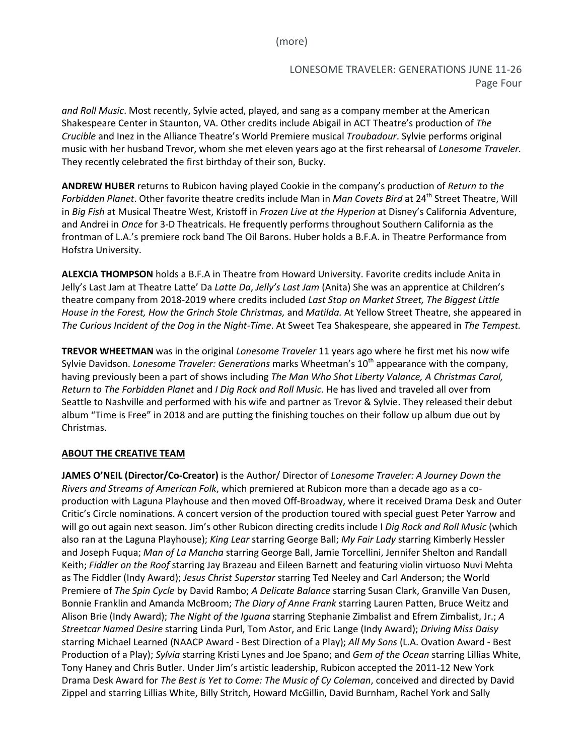(more)

# LONESOME TRAVELER: GENERATIONS JUNE 11-26 Page Four

*and Roll Music*. Most recently, Sylvie acted, played, and sang as a company member at the American Shakespeare Center in Staunton, VA. Other credits include Abigail in ACT Theatre's production of *The Crucible* and Inez in the Alliance Theatre's World Premiere musical *Troubadour*. Sylvie performs original music with her husband Trevor, whom she met eleven years ago at the first rehearsal of *Lonesome Traveler.* They recently celebrated the first birthday of their son, Bucky.

**ANDREW HUBER** returns to Rubicon having played Cookie in the company's production of *Return to the Forbidden Planet*. Other favorite theatre credits include Man in *Man Covets Bird* at 24<sup>th</sup> Street Theatre, Will in *Big Fish* at Musical Theatre West, Kristoff in *Frozen Live at the Hyperion* at Disney's California Adventure, and Andrei in *Once* for 3-D Theatricals. He frequently performs throughout Southern California as the frontman of L.A.'s premiere rock band The Oil Barons. Huber holds a B.F.A. in Theatre Performance from Hofstra University.

**ALEXCIA THOMPSON** holds a B.F.A in Theatre from Howard University. Favorite credits include Anita in Jelly's Last Jam at Theatre Latte' Da *Latte Da*, *Jelly's Last Jam* (Anita) She was an apprentice at Children's theatre company from 2018-2019 where credits included *Last Stop on Market Street, The Biggest Little House in the Forest, How the Grinch Stole Christmas,* and *Matilda.* At Yellow Street Theatre, she appeared in *The Curious Incident of the Dog in the Night-Time*. At Sweet Tea Shakespeare, she appeared in *The Tempest.* 

**TREVOR WHEETMAN** was in the original *Lonesome Traveler* 11 years ago where he first met his now wife Sylvie Davidson. *Lonesome Traveler: Generations* marks Wheetman's 10<sup>th</sup> appearance with the company, having previously been a part of shows including *The Man Who Shot Liberty Valance, A Christmas Carol, Return to The Forbidden Planet* and *I Dig Rock and Roll Music.* He has lived and traveled all over from Seattle to Nashville and performed with his wife and partner as Trevor & Sylvie. They released their debut album "Time is Free" in 2018 and are putting the finishing touches on their follow up album due out by Christmas.

### **ABOUT THE CREATIVE TEAM**

**JAMES O'NEIL (Director/Co-Creator)** is the Author/ Director of *Lonesome Traveler: A Journey Down the Rivers and Streams of American Folk*, which premiered at Rubicon more than a decade ago as a coproduction with Laguna Playhouse and then moved Off-Broadway, where it received Drama Desk and Outer Critic's Circle nominations. A concert version of the production toured with special guest Peter Yarrow and will go out again next season. Jim's other Rubicon directing credits include I *Dig Rock and Roll Music* (which also ran at the Laguna Playhouse); *King Lear* starring George Ball; *My Fair Lady* starring Kimberly Hessler and Joseph Fuqua; *Man of La Mancha* starring George Ball, Jamie Torcellini, Jennifer Shelton and Randall Keith; *Fiddler on the Roof* starring Jay Brazeau and Eileen Barnett and featuring violin virtuoso Nuvi Mehta as The Fiddler (Indy Award); *Jesus Christ Superstar* starring Ted Neeley and Carl Anderson; the World Premiere of *The Spin Cycle* by David Rambo; *A Delicate Balance* starring Susan Clark, Granville Van Dusen, Bonnie Franklin and Amanda McBroom; *The Diary of Anne Frank* starring Lauren Patten, Bruce Weitz and Alison Brie (Indy Award); *The Night of the Iguana* starring Stephanie Zimbalist and Efrem Zimbalist, Jr.; *A Streetcar Named Desire* starring Linda Purl, Tom Astor, and Eric Lange (Indy Award); *Driving Miss Daisy*  starring Michael Learned (NAACP Award - Best Direction of a Play); *All My Sons* (L.A. Ovation Award - Best Production of a Play); *Sylvia* starring Kristi Lynes and Joe Spano; and *Gem of the Ocean* starring Lillias White, Tony Haney and Chris Butler. Under Jim's artistic leadership, Rubicon accepted the 2011-12 New York Drama Desk Award for *The Best is Yet to Come: The Music of Cy Coleman*, conceived and directed by David Zippel and starring Lillias White, Billy Stritch, Howard McGillin, David Burnham, Rachel York and Sally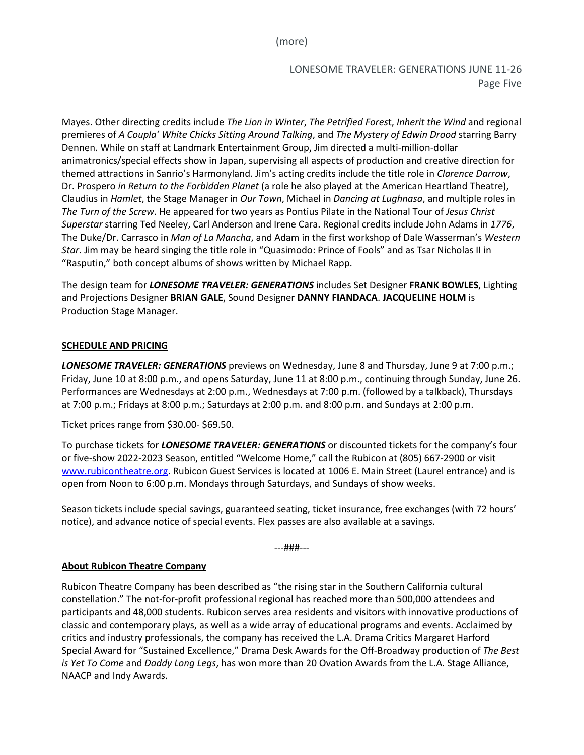(more)

LONESOME TRAVELER: GENERATIONS JUNE 11-26 Page Five

Mayes. Other directing credits include *The Lion in Winter*, *The Petrified Fores*t, *Inherit the Wind* and regional premieres of *A Coupla' White Chicks Sitting Around Talking*, and *The Mystery of Edwin Drood* starring Barry Dennen. While on staff at Landmark Entertainment Group, Jim directed a multi-million-dollar animatronics/special effects show in Japan, supervising all aspects of production and creative direction for themed attractions in Sanrio's Harmonyland. Jim's acting credits include the title role in *Clarence Darrow*, Dr. Prospero *in Return to the Forbidden Planet* (a role he also played at the American Heartland Theatre), Claudius in *Hamlet*, the Stage Manager in *Our Town*, Michael in *Dancing at Lughnasa*, and multiple roles in *The Turn of the Screw*. He appeared for two years as Pontius Pilate in the National Tour of *Jesus Christ Superstar* starring Ted Neeley, Carl Anderson and Irene Cara. Regional credits include John Adams in *1776*, The Duke/Dr. Carrasco in *Man of La Mancha*, and Adam in the first workshop of Dale Wasserman's *Western Star*. Jim may be heard singing the title role in "Quasimodo: Prince of Fools" and as Tsar Nicholas II in "Rasputin," both concept albums of shows written by Michael Rapp.

The design team for *LONESOME TRAVELER: GENERATIONS* includes Set Designer **FRANK BOWLES**, Lighting and Projections Designer **BRIAN GALE**, Sound Designer **DANNY FIANDACA**. **JACQUELINE HOLM** is Production Stage Manager.

#### **SCHEDULE AND PRICING**

*LONESOME TRAVELER: GENERATIONS* previews on Wednesday, June 8 and Thursday, June 9 at 7:00 p.m.; Friday, June 10 at 8:00 p.m., and opens Saturday, June 11 at 8:00 p.m., continuing through Sunday, June 26. Performances are Wednesdays at 2:00 p.m., Wednesdays at 7:00 p.m. (followed by a talkback), Thursdays at 7:00 p.m.; Fridays at 8:00 p.m.; Saturdays at 2:00 p.m. and 8:00 p.m. and Sundays at 2:00 p.m.

Ticket prices range from \$30.00- \$69.50.

To purchase tickets for *LONESOME TRAVELER: GENERATIONS* or discounted tickets for the company's four or five-show 2022-2023 Season, entitled "Welcome Home," call the Rubicon at (805) 667-2900 or visit [www.rubicontheatre.org.](http://www.rubicontheatre.org/) Rubicon Guest Services is located at 1006 E. Main Street (Laurel entrance) and is open from Noon to 6:00 p.m. Mondays through Saturdays, and Sundays of show weeks.

Season tickets include special savings, guaranteed seating, ticket insurance, free exchanges (with 72 hours' notice), and advance notice of special events. Flex passes are also available at a savings.

---###---

#### **About Rubicon Theatre Company**

Rubicon Theatre Company has been described as "the rising star in the Southern California cultural constellation." The not-for-profit professional regional has reached more than 500,000 attendees and participants and 48,000 students. Rubicon serves area residents and visitors with innovative productions of classic and contemporary plays, as well as a wide array of educational programs and events. Acclaimed by critics and industry professionals, the company has received the L.A. Drama Critics Margaret Harford Special Award for "Sustained Excellence," Drama Desk Awards for the Off-Broadway production of *The Best is Yet To Come* and *Daddy Long Legs*, has won more than 20 Ovation Awards from the L.A. Stage Alliance, NAACP and Indy Awards.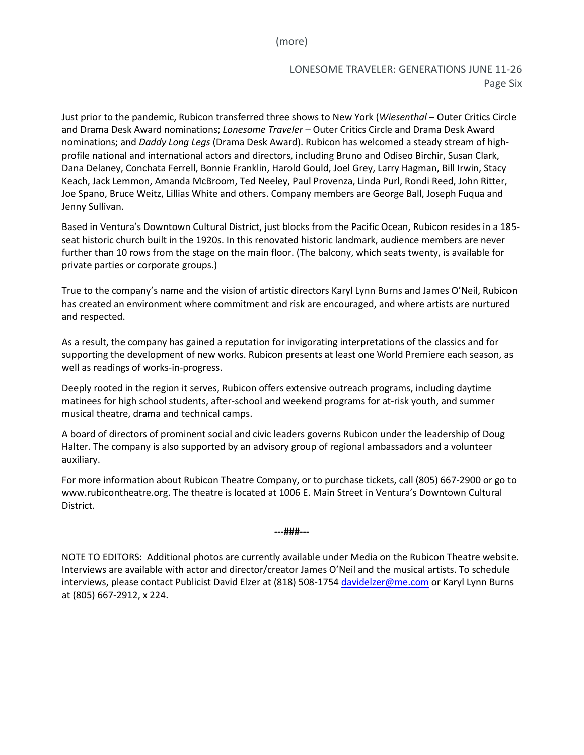(more)

# LONESOME TRAVELER: GENERATIONS JUNE 11-26 Page Six

Just prior to the pandemic, Rubicon transferred three shows to New York (*Wiesenthal* – Outer Critics Circle and Drama Desk Award nominations; *Lonesome Traveler* – Outer Critics Circle and Drama Desk Award nominations; and *Daddy Long Legs* (Drama Desk Award). Rubicon has welcomed a steady stream of highprofile national and international actors and directors, including Bruno and Odiseo Birchir, Susan Clark, Dana Delaney, Conchata Ferrell, Bonnie Franklin, Harold Gould, Joel Grey, Larry Hagman, Bill Irwin, Stacy Keach, Jack Lemmon, Amanda McBroom, Ted Neeley, Paul Provenza, Linda Purl, Rondi Reed, John Ritter, Joe Spano, Bruce Weitz, Lillias White and others. Company members are George Ball, Joseph Fuqua and Jenny Sullivan.

Based in Ventura's Downtown Cultural District, just blocks from the Pacific Ocean, Rubicon resides in a 185 seat historic church built in the 1920s. In this renovated historic landmark, audience members are never further than 10 rows from the stage on the main floor. (The balcony, which seats twenty, is available for private parties or corporate groups.)

True to the company's name and the vision of artistic directors Karyl Lynn Burns and James O'Neil, Rubicon has created an environment where commitment and risk are encouraged, and where artists are nurtured and respected.

As a result, the company has gained a reputation for invigorating interpretations of the classics and for supporting the development of new works. Rubicon presents at least one World Premiere each season, as well as readings of works-in-progress.

Deeply rooted in the region it serves, Rubicon offers extensive outreach programs, including daytime matinees for high school students, after-school and weekend programs for at-risk youth, and summer musical theatre, drama and technical camps.

A board of directors of prominent social and civic leaders governs Rubicon under the leadership of Doug Halter. The company is also supported by an advisory group of regional ambassadors and a volunteer auxiliary.

For more information about Rubicon Theatre Company, or to purchase tickets, call (805) 667-2900 or go to [www.rubicontheatre.org.](http://www.rubicontheatre.org/) The theatre is located at 1006 E. Main Street in Ventura's Downtown Cultural District.

**---###---**

NOTE TO EDITORS: Additional photos are currently available under Media on the Rubicon Theatre website. Interviews are available with actor and director/creator James O'Neil and the musical artists. To schedule interviews, please contact Publicist David Elzer at (818) 508-1754 [davidelzer@me.com](mailto:davidelzer@me.com) or Karyl Lynn Burns at (805) 667-2912, x 224.